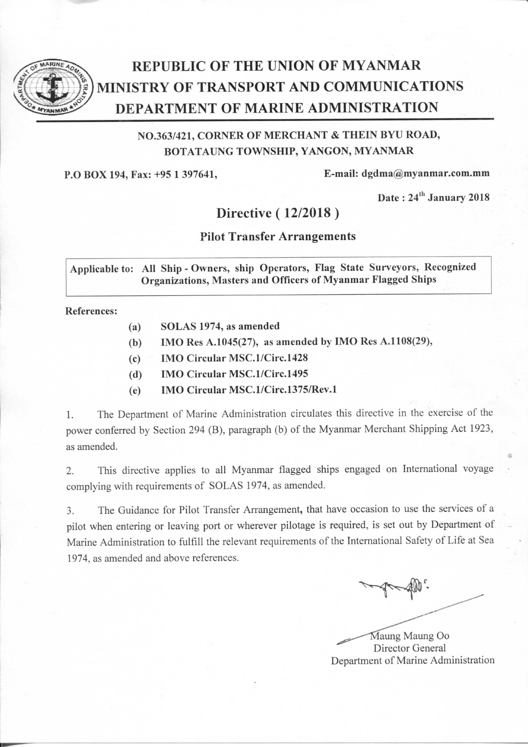

## REPUBLIC OF THE UNION OF MYANMAR MINISTRY OF TRANSPORT AND COMMUNICATIONS DEPARTMENT OF MARINE ADMINISTRATION

## NO.3631421, CORNER OF MERCHANT & THEIN BYU ROAD, BOTATAUNG TOWNSHIP, YANGON, MYANMAR

P.O BOX 194, Fax: +95 1 397641, E-mail: dgdma@myanmar.com.mm

Date:  $24^{\text{th}}$  January 2018

## Directive ( 12/2018 )

## Pilot Transfer Arrangements

Applicable to: All Ship - Owners, ship Operators, Flag State Surveyors, Recognized Organizations, Masters and Officers of Myanmar Flagged Ships

#### References:

- (a) SOLAS 1974, as amended
- (b) IMO Res A.1045(27), aS amended by IMO Res A.1108(29),
- (c) IMO Circular MSC.1/Circ.1428
- (d) IMO Circular MSC.1/Circ.1495
- (e) IMO Circular MSC.1/Circ.1375/Rev.1

1. The Department of Marine Administration circulates this directive in the exercise of the power conferred by Section 294 (B), paragraph (b) of the Myanmar Merchant Shipping Act 1923, as amended.

2. This directive applies to all Myanmar flagged ships engaged on Intemational voyage complying with requirements of SOLAS 1974, as amended.

3. The Guidance for Pilot Transfer Arrangement, that have occasion to use the services of a pilot when entering or leaving port or wherever pilotage is required, is set out by Department of Marine Administration to fulfill the relevant requirements of the International Safety of Life at Sea 1974, as amended and above references.

Maung Maung Oo Director General Department of Marine Administration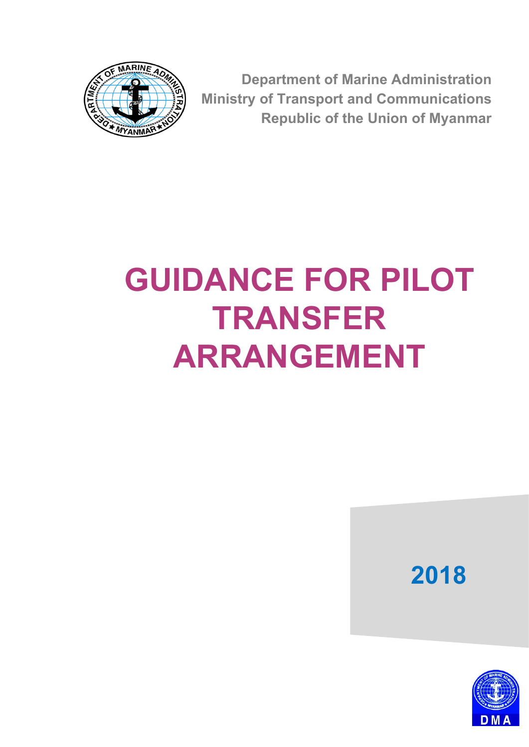

**Department of Marine Administration Ministry of Transport and Communications Republic of the Union of Myanmar**

# **GUIDANCE FOR PILOT TRANSFER ARRANGEMENT**

**2018**

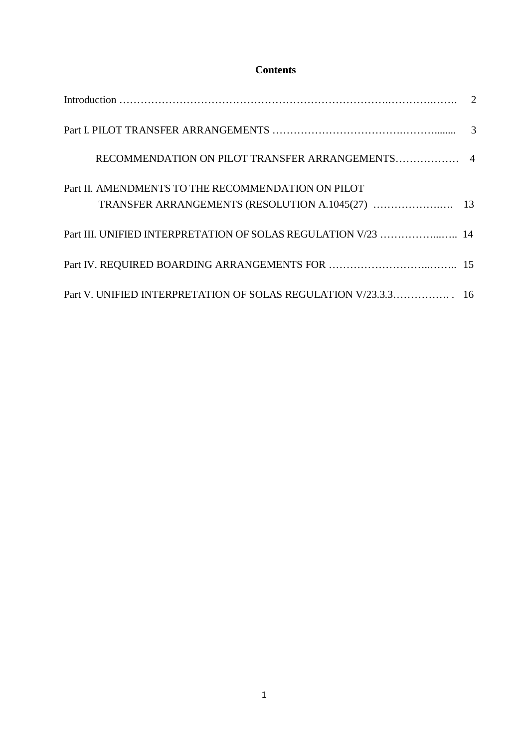## **Contents**

| Part II. AMENDMENTS TO THE RECOMMENDATION ON PILOT            |  |
|---------------------------------------------------------------|--|
| Part III. UNIFIED INTERPRETATION OF SOLAS REGULATION V/23  14 |  |
|                                                               |  |
|                                                               |  |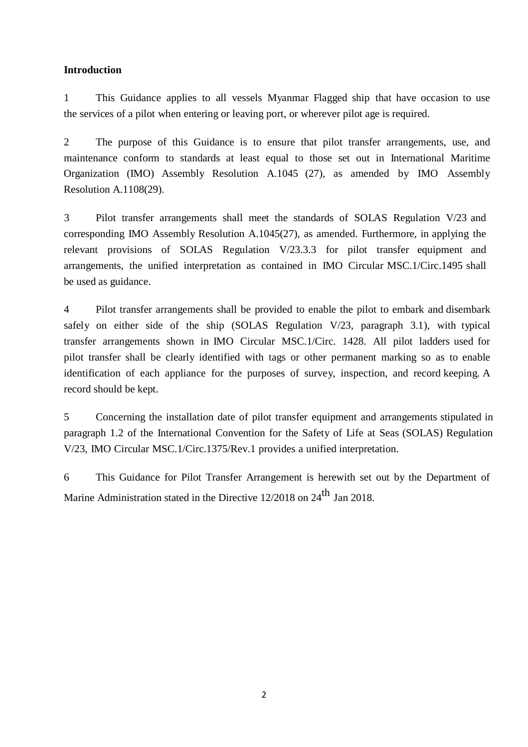#### **Introduction**

1 This Guidance applies to all vessels Myanmar Flagged ship that have occasion to use the services of a pilot when entering or leaving port, or wherever pilot age is required.

2 The purpose of this Guidance is to ensure that pilot transfer arrangements, use, and maintenance conform to standards at least equal to those set out in International Maritime Organization (IMO) Assembly Resolution [A.1045 \(27\), a](http://www.register-iri.com/forms/upload/A_27_Resolution_1045.pdf)s amended by IMO Assembly Resolution [A.1108\(29\).](http://www.register-iri.com/forms/upload/A%2029-Res.1108.pdf)

3 Pilot transfer arrangements shall meet the standards of SOLAS Regulation V/23 and corresponding IMO Assembly Resolution A.1045(27), as amended. Furthermore, in applying the relevant provisions of SOLAS Regulation V/23.3.3 for pilot transfer equipment and arrangements, the unified interpretation as contained in IMO Circula[r MSC.1/Circ.1495 s](http://www.register-iri.com/forms/upload/MSC.1-Circ.1495.pdf)hall be used as guidance.

4 Pilot transfer arrangements shall be provided to enable the pilot to embark and disembark safely on either side of the ship (SOLAS Regulation V/23, paragraph 3.1), with typical transfer arrangements shown in IMO Circular MSC.1/Circ. 1428. All pilot ladders used for pilot transfer shall be clearly identified with tags or other permanent marking so as to enable identification of each appliance for the purposes of survey, inspection, and record keeping. A record should be kept.

5 Concerning the installation date of pilot transfer equipment and arrangements stipulated in paragraph 1.2 of the International Convention for the Safety of Life at Seas (SOLAS) Regulation V/23, IMO Circular [MSC.1/Circ.1375/Rev.1](http://www.register-iri.com/forms/upload/MSC.1-Circ.1375-Rev.1.pdf) provides a unified interpretation.

6 This Guidance for Pilot Transfer Arrangement is herewith set out by the Department of Marine Administration stated in the Directive  $12/2018$  on  $24<sup>th</sup>$  Jan 2018.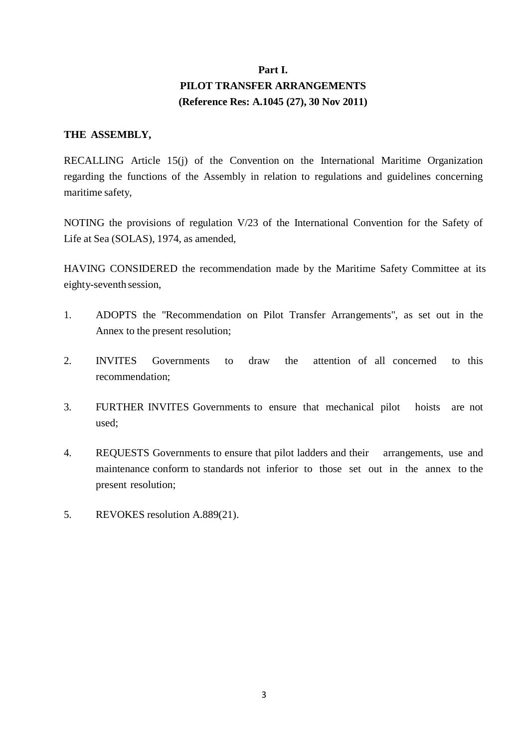## **Part I. PILOT TRANSFER ARRANGEMENTS (Reference Res: A.1045 (27), 30 Nov 2011)**

#### **THE ASSEMBLY,**

RECALLING Article 15(j) of the Convention on the International Maritime Organization regarding the functions of the Assembly in relation to regulations and guidelines concerning maritime safety,

NOTING the provisions of regulation V/23 of the International Convention for the Safety of Life at Sea (SOLAS), 1974, as amended,

HAVING CONSIDERED the recommendation made by the Maritime Safety Committee at its eighty-seventh session,

- 1. ADOPTS the "Recommendation on Pilot Transfer Arrangements", as set out in the Annex to the present resolution;
- 2. INVITES Governments to draw the attention of all concerned to this recommendation;
- 3. FURTHER INVITES Governments to ensure that mechanical pilot hoists are not used;
- 4. REQUESTS Governments to ensure that pilot ladders and their arrangements, use and maintenance conform to standards not inferior to those set out in the annex to the present resolution;
- 5. REVOKES resolution A.889(21).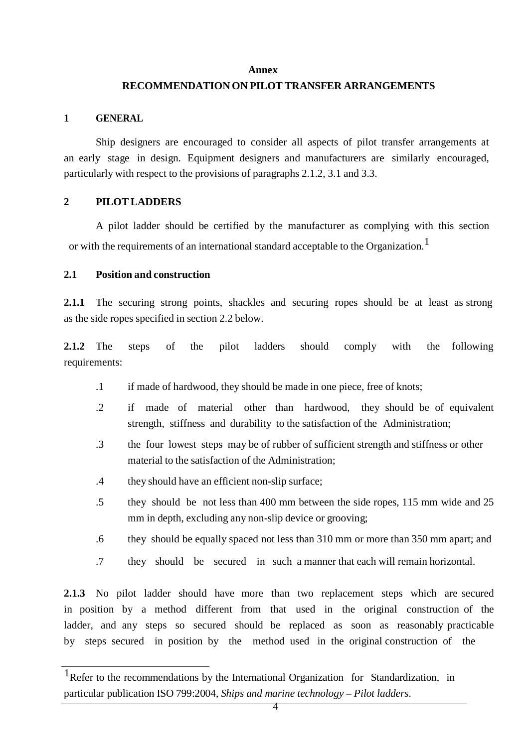#### **Annex**

## **RECOMMENDATION ON PILOT TRANSFER ARRANGEMENTS**

## **1 GENERAL**

Ship designers are encouraged to consider all aspects of pilot transfer arrangements at an early stage in design. Equipment designers and manufacturers are similarly encouraged, particularly with respect to the provisions of paragraphs 2.1.2, 3.1 and 3.3.

## **2 PILOT LADDERS**

A pilot ladder should be certified by the manufacturer as complying with this section or with the requirements of an international standard acceptable to the Organization.<sup>1</sup>

## **2.1 Position and construction**

2.1.1 The securing strong points, shackles and securing ropes should be at least as strong as the side ropes specified in section 2.2 below.

**2.1.2** The steps of the pilot ladders should comply with the following requirements:

- .1 if made of hardwood, they should be made in one piece, free of knots;
- .2 if made of material other than hardwood, they should be of equivalent strength, stiffness and durability to the satisfaction of the Administration;
- .3 the four lowest steps may be of rubber of sufficient strength and stiffness or other material to the satisfaction of the Administration;
- .4 they should have an efficient non-slip surface;
- .5 they should be not less than 400 mm between the side ropes, 115 mm wide and 25 mm in depth, excluding any non-slip device or grooving;
- .6 they should be equally spaced not less than 310 mm or more than 350 mm apart; and
- .7 they should be secured in such a manner that each will remain horizontal.

**2.1.3** No pilot ladder should have more than two replacement steps which are secured in position by a method different from that used in the original construction of the ladder, and any steps so secured should be replaced as soon as reasonably practicable by steps secured in position by the method used in the original construction of the

<sup>&</sup>lt;sup>1</sup>Refer to the recommendations by the International Organization for Standardization, in particular publication ISO 799:2004, *Ships and marine technology – Pilot ladders*.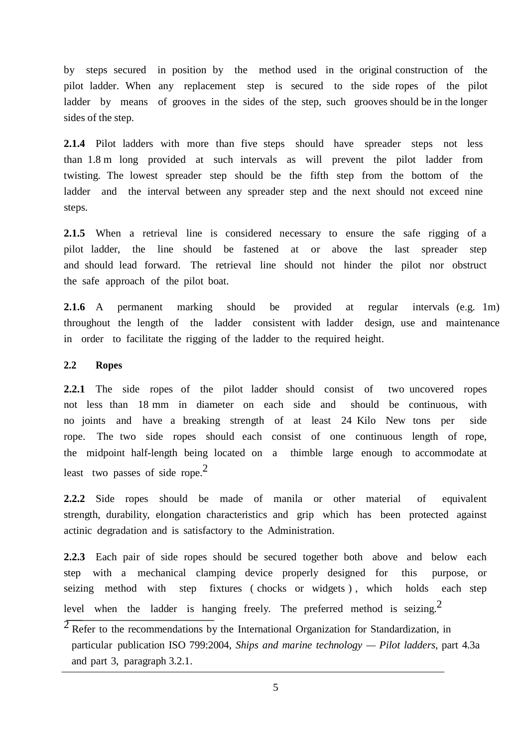by steps secured in position by the method used in the original construction of the pilot ladder. When any replacement step is secured to the side ropes of the pilot ladder by means of grooves in the sides of the step, such grooves should be in the longer sides of the step.

**2.1.4** Pilot ladders with more than five steps should have spreader steps not less than 1.8 m long provided at such intervals as will prevent the pilot ladder from twisting. The lowest spreader step should be the fifth step from the bottom of the ladder and the interval between any spreader step and the next should not exceed nine steps.

**2.1.5** When a retrieval line is considered necessary to ensure the safe rigging of a pilot ladder, the line should be fastened at or above the last spreader step and should lead forward. The retrieval line should not hinder the pilot nor obstruct the safe approach of the pilot boat.

**2.1.6** A permanent marking should be provided at regular intervals (e.g. 1m) throughout the length of the ladder consistent with ladder design, use and maintenance in order to facilitate the rigging of the ladder to the required height.

#### **2.2 Ropes**

**2.2.1** The side ropes of the pilot ladder should consist of two uncovered ropes not less than 18 mm in diameter on each side and should be continuous, with no joints and have a breaking strength of at least 24 Kilo New tons per side rope. The two side ropes should each consist of one continuous length of rope, the midpoint half-length being located on a thimble large enough to accommodate at least two passes of side rope.<sup>2</sup>

**2.2.2** Side ropes should be made of manila or other material of equivalent strength, durability, elongation characteristics and grip which has been protected against actinic degradation and is satisfactory to the Administration.

**2.2.3** Each pair of side ropes should be secured together both above and below each step with a mechanical clamping device properly designed for this purpose, or seizing method with step fixtures ( chocks or widgets ), which holds each step level when the ladder is hanging freely. The preferred method is seizing.<sup>2</sup>

 $2$  Refer to the recommendations by the International Organization for Standardization, in particular publication ISO 799:2004, *Ships and marine technology — Pilot ladders*, part 4.3a and part 3, paragraph 3.2.1.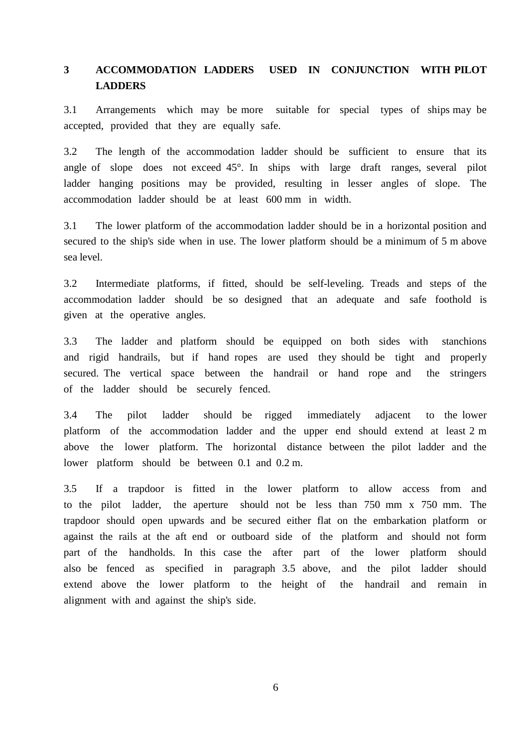## **3 ACCOMMODATION LADDERS USED IN CONJUNCTION WITH PILOT LADDERS**

3.1 Arrangements which may be more suitable for special types of ships may be accepted, provided that they are equally safe.

3.2 The length of the accommodation ladder should be sufficient to ensure that its angle of slope does not exceed 45°. In ships with large draft ranges, several pilot ladder hanging positions may be provided, resulting in lesser angles of slope. The accommodation ladder should be at least 600 mm in width.

3.1 The lower platform of the accommodation ladder should be in a horizontal position and secured to the ship's side when in use. The lower platform should be a minimum of 5 m above sea level.

3.2 Intermediate platforms, if fitted, should be self-leveling. Treads and steps of the accommodation ladder should be so designed that an adequate and safe foothold is given at the operative angles.

3.3 The ladder and platform should be equipped on both sides with stanchions and rigid handrails, but if hand ropes are used they should be tight and properly secured. The vertical space between the handrail or hand rope and the stringers of the ladder should be securely fenced.

3.4 The pilot ladder should be rigged immediately adjacent to the lower platform of the accommodation ladder and the upper end should extend at least 2 m above the lower platform. The horizontal distance between the pilot ladder and the lower platform should be between 0.1 and 0.2 m.

3.5 If a trapdoor is fitted in the lower platform to allow access from and to the pilot ladder, the aperture should not be less than 750 mm x 750 mm. The trapdoor should open upwards and be secured either flat on the embarkation platform or against the rails at the aft end or outboard side of the platform and should not form part of the handholds. In this case the after part of the lower platform should also be fenced as specified in paragraph 3.5 above, and the pilot ladder should extend above the lower platform to the height of the handrail and remain in alignment with and against the ship's side.

6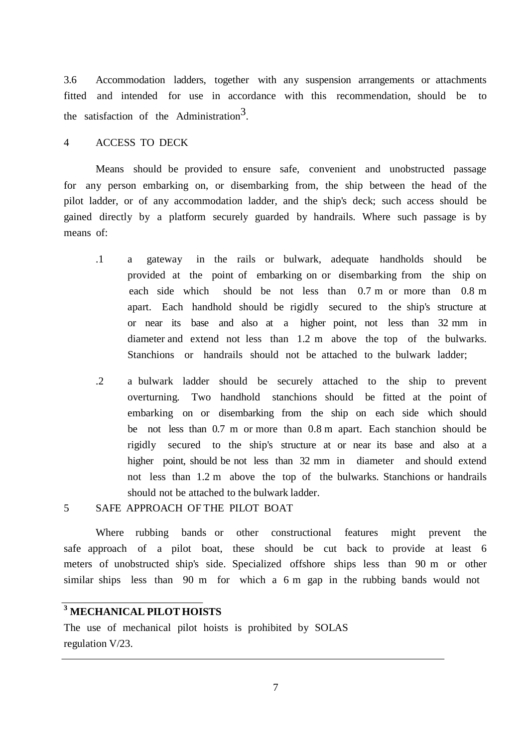3.6 Accommodation ladders, together with any suspension arrangements or attachments fitted and intended for use in accordance with this recommendation, should be to the satisfaction of the Administration<sup>3</sup>.

#### 4 ACCESS TO DECK

Means should be provided to ensure safe, convenient and unobstructed passage for any person embarking on, or disembarking from, the ship between the head of the pilot ladder, or of any accommodation ladder, and the ship's deck; such access should be gained directly by a platform securely guarded by handrails. Where such passage is by means of:

- .1 a gateway in the rails or bulwark, adequate handholds should be provided at the point of embarking on or disembarking from the ship on each side which should be not less than 0.7 m or more than 0.8 m apart. Each handhold should be rigidly secured to the ship's structure at or near its base and also at a higher point, not less than 32 mm in diameter and extend not less than 1.2 m above the top of the bulwarks. Stanchions or handrails should not be attached to the bulwark ladder;
- .2 a bulwark ladder should be securely attached to the ship to prevent overturning. Two handhold stanchions should be fitted at the point of embarking on or disembarking from the ship on each side which should be not less than 0.7 m or more than 0.8 m apart. Each stanchion should be rigidly secured to the ship's structure at or near its base and also at a higher point, should be not less than 32 mm in diameter and should extend not less than 1.2 m above the top of the bulwarks. Stanchions or handrails should not be attached to the bulwark ladder.

#### 5 SAFE APPROACH OF THE PILOT BOAT

Where rubbing bands or other constructional features might prevent the safe approach of a pilot boat, these should be cut back to provide at least 6 meters of unobstructed ship's side. Specialized offshore ships less than 90 m or other similar ships less than 90 m for which a 6 m gap in the rubbing bands would not

### **<sup>3</sup> MECHANICAL PILOT HOISTS**

The use of mechanical pilot hoists is prohibited by SOLAS regulation V/23.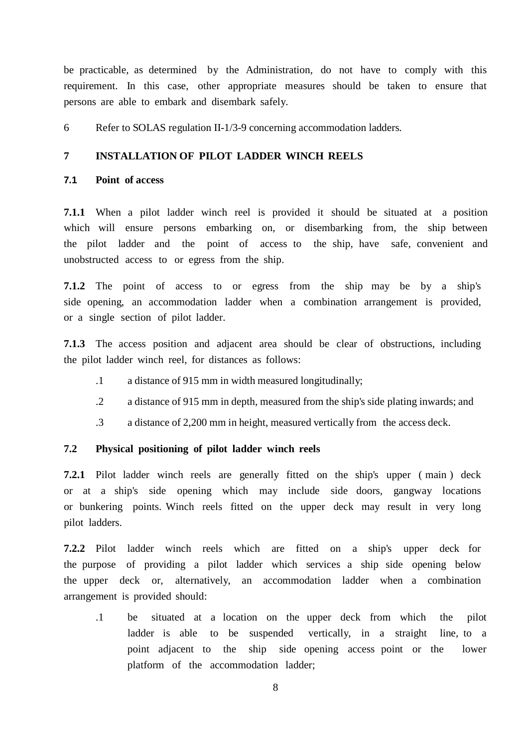be practicable, as determined by the Administration, do not have to comply with this requirement. In this case, other appropriate measures should be taken to ensure that persons are able to embark and disembark safely.

6 Refer to SOLAS regulation II-1/3-9 concerning accommodation ladders.

#### **7 INSTALLATION OF PILOT LADDER WINCH REELS**

#### **7.1 Point of access**

**7.1.1** When a pilot ladder winch reel is provided it should be situated at a position which will ensure persons embarking on, or disembarking from, the ship between the pilot ladder and the point of access to the ship, have safe, convenient and unobstructed access to or egress from the ship.

**7.1.2** The point of access to or egress from the ship may be by a ship's side opening, an accommodation ladder when a combination arrangement is provided, or a single section of pilot ladder.

**7.1.3** The access position and adjacent area should be clear of obstructions, including the pilot ladder winch reel, for distances as follows:

- .1 a distance of 915 mm in width measured longitudinally;
- .2 a distance of 915 mm in depth, measured from the ship's side plating inwards; and
- .3 a distance of 2,200 mm in height, measured vertically from the access deck.

## **7.2 Physical positioning of pilot ladder winch reels**

**7.2.1** Pilot ladder winch reels are generally fitted on the ship's upper ( main ) deck or at a ship's side opening which may include side doors, gangway locations or bunkering points. Winch reels fitted on the upper deck may result in very long pilot ladders.

**7.2.2** Pilot ladder winch reels which are fitted on a ship's upper deck for the purpose of providing a pilot ladder which services a ship side opening below the upper deck or, alternatively, an accommodation ladder when a combination arrangement is provided should:

.1 be situated at a location on the upper deck from which the pilot ladder is able to be suspended vertically, in a straight line, to a point adjacent to the ship side opening access point or the lower platform of the accommodation ladder;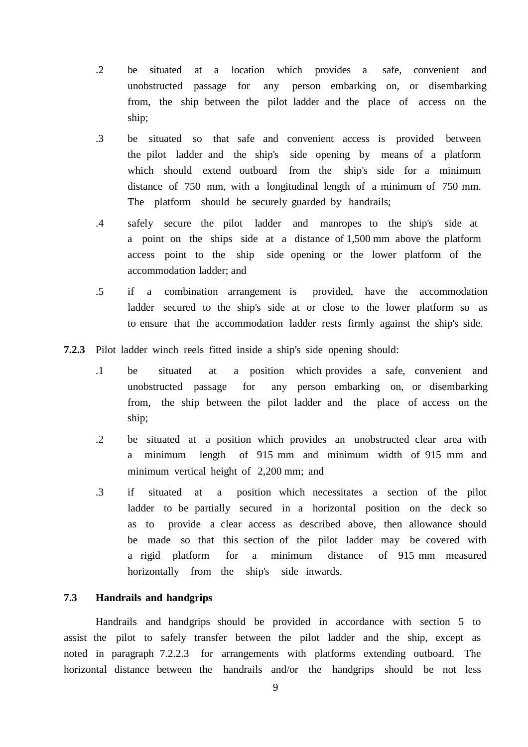- .2 be situated at a location which provides a safe, convenient and unobstructed passage for any person embarking on, or disembarking from, the ship between the pilot ladder and the place of access on the ship;
- .3 be situated so that safe and convenient access is provided between the pilot ladder and the ship's side opening by means of a platform which should extend outboard from the ship's side for a minimum distance of 750 mm, with a longitudinal length of a minimum of 750 mm. The platform should be securely guarded by handrails;
- .4 safely secure the pilot ladder and manropes to the ship's side at a point on the ships side at a distance of 1,500 mm above the platform access point to the ship side opening or the lower platform of the accommodation ladder; and
- .5 if a combination arrangement is provided, have the accommodation ladder secured to the ship's side at or close to the lower platform so as to ensure that the accommodation ladder rests firmly against the ship's side.
- **7.2.3** Pilot ladder winch reels fitted inside a ship's side opening should:
	- .1 be situated at a position which provides a safe, convenient and unobstructed passage for any person embarking on, or disembarking from, the ship between the pilot ladder and the place of access on the ship;
	- .2 be situated at a position which provides an unobstructed clear area with a minimum length of 915 mm and minimum width of 915 mm and minimum vertical height of 2,200 mm; and
	- .3 if situated at a position which necessitates a section of the pilot ladder to be partially secured in a horizontal position on the deck so as to provide a clear access as described above, then allowance should be made so that this section of the pilot ladder may be covered with a rigid platform for a minimum distance of 915 mm measured horizontally from the ship's side inwards.

#### **7.3 Handrails and handgrips**

Handrails and handgrips should be provided in accordance with section 5 to assist the pilot to safely transfer between the pilot ladder and the ship, except as noted in paragraph 7.2.2.3 for arrangements with platforms extending outboard. The horizontal distance between the handrails and/or the handgrips should be not less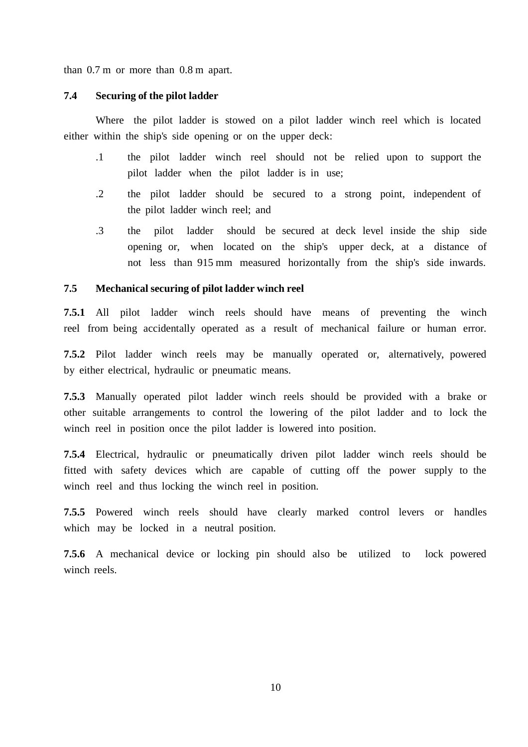than 0.7 m or more than 0.8 m apart.

#### **7.4 Securing of the pilot ladder**

Where the pilot ladder is stowed on a pilot ladder winch reel which is located either within the ship's side opening or on the upper deck:

- .1 the pilot ladder winch reel should not be relied upon to support the pilot ladder when the pilot ladder is in use;
- .2 the pilot ladder should be secured to a strong point, independent of the pilot ladder winch reel; and
- .3 the pilot ladder should be secured at deck level inside the ship side opening or, when located on the ship's upper deck, at a distance of not less than 915 mm measured horizontally from the ship's side inwards.

#### **7.5 Mechanical securing of pilot ladder winch reel**

**7.5.1** All pilot ladder winch reels should have means of preventing the winch reel from being accidentally operated as a result of mechanical failure or human error.

**7.5.2** Pilot ladder winch reels may be manually operated or, alternatively, powered by either electrical, hydraulic or pneumatic means.

**7.5.3** Manually operated pilot ladder winch reels should be provided with a brake or other suitable arrangements to control the lowering of the pilot ladder and to lock the winch reel in position once the pilot ladder is lowered into position.

**7.5.4** Electrical, hydraulic or pneumatically driven pilot ladder winch reels should be fitted with safety devices which are capable of cutting off the power supply to the winch reel and thus locking the winch reel in position.

**7.5.5** Powered winch reels should have clearly marked control levers or handles which may be locked in a neutral position.

**7.5.6** A mechanical device or locking pin should also be utilized to lock powered winch reels.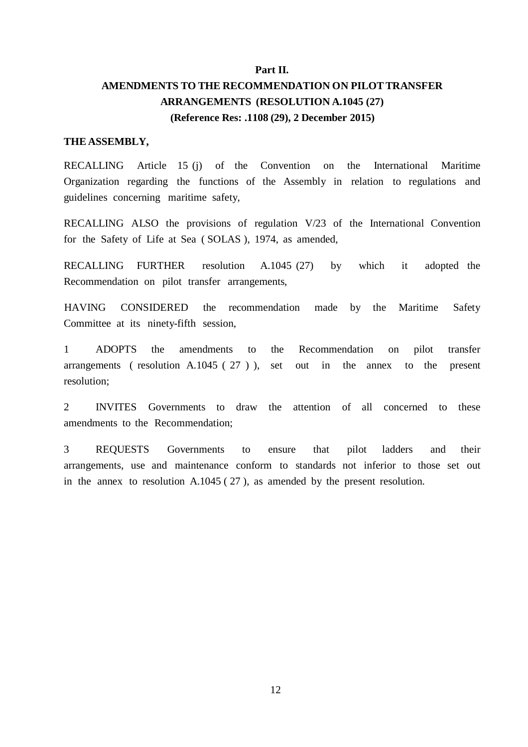#### **Part II.**

## **AMENDMENTS TO THE RECOMMENDATION ON PILOTTRANSFER ARRANGEMENTS (RESOLUTION A.1045 (27) (Reference Res: .1108 (29), 2 December 2015)**

#### **THE ASSEMBLY,**

RECALLING Article 15 (j) of the Convention on the International Maritime Organization regarding the functions of the Assembly in relation to regulations and guidelines concerning maritime safety,

RECALLING ALSO the provisions of regulation V/23 of the International Convention for the Safety of Life at Sea ( SOLAS ), 1974, as amended,

RECALLING FURTHER resolution A.1045 (27) by which it adopted the Recommendation on pilot transfer arrangements,

HAVING CONSIDERED the recommendation made by the Maritime Safety Committee at its ninety-fifth session,

1 ADOPTS the amendments to the Recommendation on pilot transfer arrangements ( resolution A.1045 ( 27 ) ), set out in the annex to the present resolution;

2 INVITES Governments to draw the attention of all concerned to these amendments to the Recommendation;

3 REQUESTS Governments to ensure that pilot ladders and their arrangements, use and maintenance conform to standards not inferior to those set out in the annex to resolution A.1045 ( 27 ), as amended by the present resolution.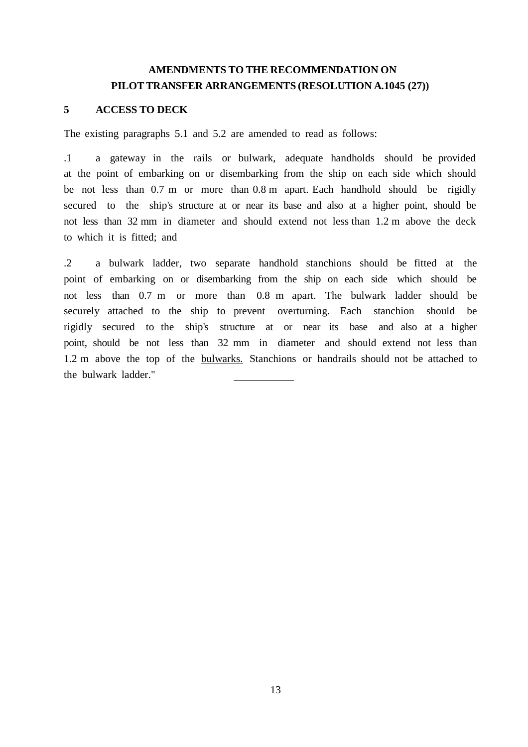## **AMENDMENTS TO THE RECOMMENDATION ON PILOT TRANSFER ARRANGEMENTS (RESOLUTION A.1045 (27))**

#### **5 ACCESS TO DECK**

The existing paragraphs 5.1 and 5.2 are amended to read as follows:

.1 a gateway in the rails or bulwark, adequate handholds should be provided at the point of embarking on or disembarking from the ship on each side which should be not less than 0.7 m or more than 0.8 m apart. Each handhold should be rigidly secured to the ship's structure at or near its base and also at a higher point, should be not less than 32 mm in diameter and should extend not less than 1.2 m above the deck to which it is fitted; and

.2 a bulwark ladder, two separate handhold stanchions should be fitted at the point of embarking on or disembarking from the ship on each side which should be not less than 0.7 m or more than 0.8 m apart. The bulwark ladder should be securely attached to the ship to prevent overturning. Each stanchion should be rigidly secured to the ship's structure at or near its base and also at a higher point, should be not less than 32 mm in diameter and should extend not less than 1.2 m above the top of the bulwarks. Stanchions or handrails should not be attached to the bulwark ladder."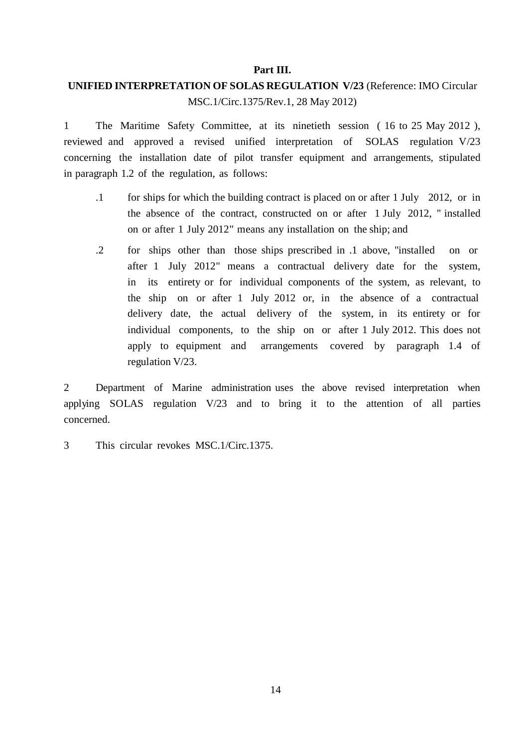#### **Part III.**

## **UNIFIED INTERPRETATION OF SOLAS REGULATION V/23** (Reference: IMO Circular MSC.1/Circ.1375/Rev.1, 28 May 2012)

1 The Maritime Safety Committee, at its ninetieth session ( 16 to 25 May 2012 ), reviewed and approved a revised unified interpretation of SOLAS regulation V/23 concerning the installation date of pilot transfer equipment and arrangements, stipulated in paragraph 1.2 of the regulation, as follows:

- .1 for ships for which the building contract is placed on or after 1 July 2012, or in the absence of the contract, constructed on or after 1 July 2012, " installed on or after 1 July 2012" means any installation on the ship; and
- .2 for ships other than those ships prescribed in .1 above, "installed on or after 1 July 2012" means a contractual delivery date for the system, in its entirety or for individual components of the system, as relevant, to the ship on or after 1 July 2012 or, in the absence of a contractual delivery date, the actual delivery of the system, in its entirety or for individual components, to the ship on or after 1 July 2012. This does not apply to equipment and arrangements covered by paragraph 1.4 of regulation V/23.

2 Department of Marine administration uses the above revised interpretation when applying SOLAS regulation V/23 and to bring it to the attention of all parties concerned.

3 This circular revokes MSC.1/Circ.1375.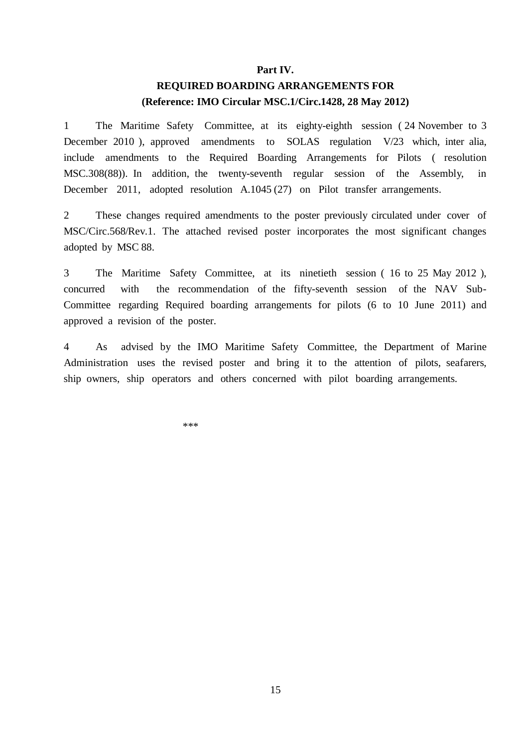#### **Part IV.**

## **REQUIRED BOARDING ARRANGEMENTS FOR (Reference: IMO Circular MSC.1/Circ.1428, 28 May 2012)**

1 The Maritime Safety Committee, at its eighty-eighth session ( 24 November to 3 December 2010), approved amendments to SOLAS regulation V/23 which, inter alia, include amendments to the Required Boarding Arrangements for Pilots ( resolution MSC.308(88)). In addition, the twenty-seventh regular session of the Assembly, in December 2011, adopted resolution A.1045 (27) on Pilot transfer arrangements.

2 These changes required amendments to the poster previously circulated under cover of MSC/Circ.568/Rev.1. The attached revised poster incorporates the most significant changes adopted by MSC 88.

3 The Maritime Safety Committee, at its ninetieth session ( 16 to 25 May 2012 ), concurred with the recommendation of the fifty-seventh session of the NAV Sub-Committee regarding Required boarding arrangements for pilots (6 to 10 June 2011) and approved a revision of the poster.

4 As advised by the IMO Maritime Safety Committee, the Department of Marine Administration uses the revised poster and bring it to the attention of pilots, seafarers, ship owners, ship operators and others concerned with pilot boarding arrangements.

 $***$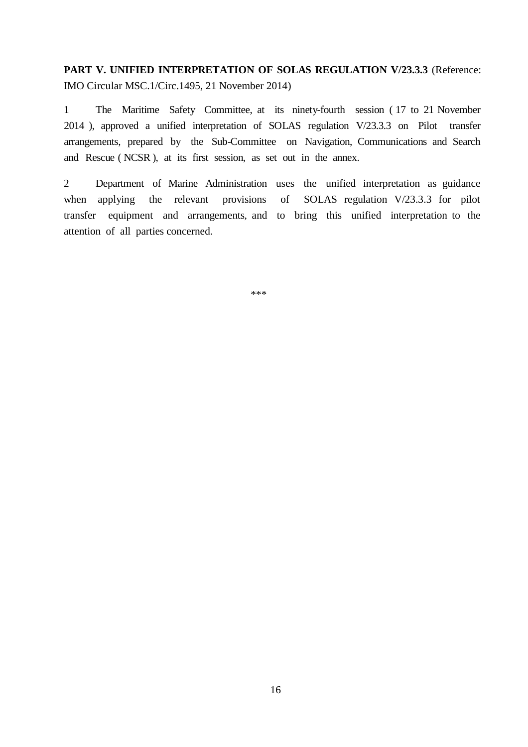**PART V. UNIFIED INTERPRETATION OF SOLAS REGULATION V/23.3.3** (Reference: IMO Circular MSC.1/Circ.1495, 21 November 2014)

1 The Maritime Safety Committee, at its ninety-fourth session ( 17 to 21 November 2014 ), approved a unified interpretation of SOLAS regulation V/23.3.3 on Pilot transfer arrangements, prepared by the Sub-Committee on Navigation, Communications and Search and Rescue ( NCSR ), at its first session, as set out in the annex.

2 Department of Marine Administration uses the unified interpretation as guidance when applying the relevant provisions of SOLAS regulation V/23.3.3 for pilot transfer equipment and arrangements, and to bring this unified interpretation to the attention of all parties concerned.

\*\*\*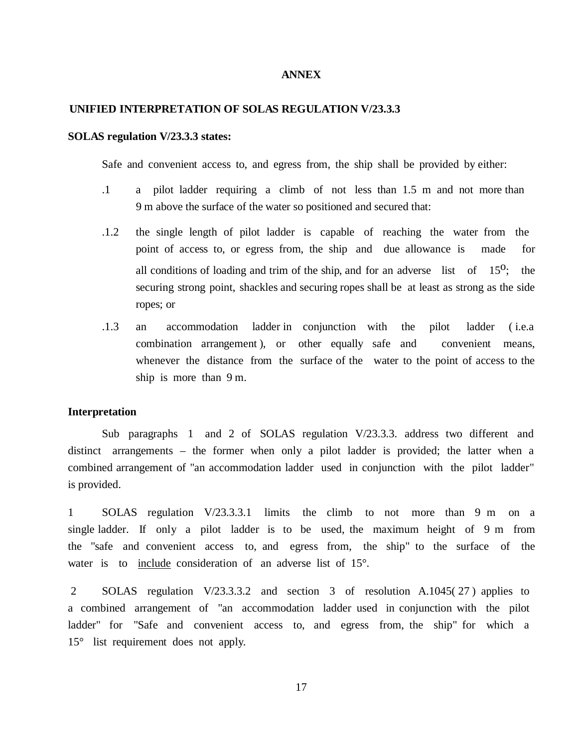#### **ANNEX**

#### **UNIFIED INTERPRETATION OF SOLAS REGULATION V/23.3.3**

#### **SOLAS regulation V/23.3.3 states:**

Safe and convenient access to, and egress from, the ship shall be provided by either:

- .1 a pilot ladder requiring a climb of not less than 1.5 m and not more than 9 m above the surface of the water so positioned and secured that:
- .1.2 the single length of pilot ladder is capable of reaching the water from the point of access to, or egress from, the ship and due allowance is made for all conditions of loading and trim of the ship, and for an adverse list of  $15^{\circ}$ ; the securing strong point, shackles and securing ropes shall be at least as strong as the side ropes; or
- .1.3 an accommodation ladder in conjunction with the pilot ladder ( i.e.a combination arrangement ), or other equally safe and convenient means, whenever the distance from the surface of the water to the point of access to the ship is more than 9 m.

#### **Interpretation**

Sub paragraphs 1 and 2 of SOLAS regulation V/23.3.3. address two different and distinct arrangements – the former when only a pilot ladder is provided; the latter when a combined arrangement of "an accommodation ladder used in conjunction with the pilot ladder" is provided.

1 SOLAS regulation V/23.3.3.1 limits the climb to not more than 9 m on a single ladder. If only a pilot ladder is to be used, the maximum height of 9 m from the "safe and convenient access to, and egress from, the ship" to the surface of the water is to include consideration of an adverse list of 15°.

2 SOLAS regulation V/23.3.3.2 and section 3 of resolution A.1045( 27 ) applies to a combined arrangement of "an accommodation ladder used in conjunction with the pilot ladder" for "Safe and convenient access to, and egress from, the ship" for which a 15° list requirement does not apply.

17